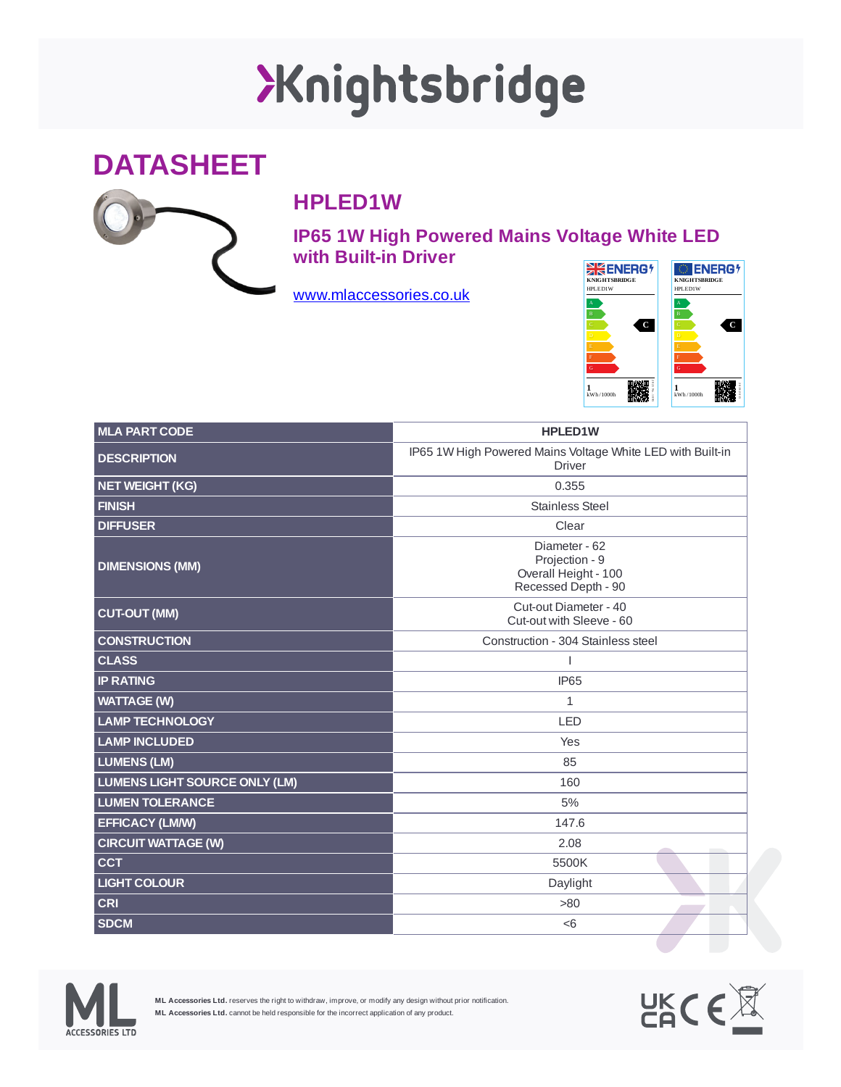## XKnightsbridge





## **HPLED1W**

**IP65 1W High Powered Mains Voltage White LED with Built-in Driver**

[www.mlaccessories.co.uk](https://www.mlaccessories.co.uk/)



| <b>MLA PART CODE</b>          | <b>HPLED1W</b>                                                                 |
|-------------------------------|--------------------------------------------------------------------------------|
| <b>DESCRIPTION</b>            | IP65 1W High Powered Mains Voltage White LED with Built-in<br><b>Driver</b>    |
| <b>NET WEIGHT (KG)</b>        | 0.355                                                                          |
| <b>FINISH</b>                 | <b>Stainless Steel</b>                                                         |
| <b>DIFFUSER</b>               | Clear                                                                          |
| <b>DIMENSIONS (MM)</b>        | Diameter - 62<br>Projection - 9<br>Overall Height - 100<br>Recessed Depth - 90 |
| <b>CUT-OUT (MM)</b>           | Cut-out Diameter - 40<br>Cut-out with Sleeve - 60                              |
| <b>CONSTRUCTION</b>           | Construction - 304 Stainless steel                                             |
| <b>CLASS</b>                  |                                                                                |
| <b>IP RATING</b>              | IP <sub>65</sub>                                                               |
| <b>WATTAGE (W)</b>            | $\mathbf{1}$                                                                   |
| <b>LAMP TECHNOLOGY</b>        | <b>LED</b>                                                                     |
| <b>LAMP INCLUDED</b>          | Yes                                                                            |
| <b>LUMENS (LM)</b>            | 85                                                                             |
| LUMENS LIGHT SOURCE ONLY (LM) | 160                                                                            |
| <b>LUMEN TOLERANCE</b>        | 5%                                                                             |
| <b>EFFICACY (LM/W)</b>        | 147.6                                                                          |
| <b>CIRCUIT WATTAGE (W)</b>    | 2.08                                                                           |
| <b>CCT</b>                    | 5500K                                                                          |
| <b>LIGHT COLOUR</b>           | Daylight                                                                       |
| <b>CRI</b>                    | >80                                                                            |
| <b>SDCM</b>                   | < 6                                                                            |